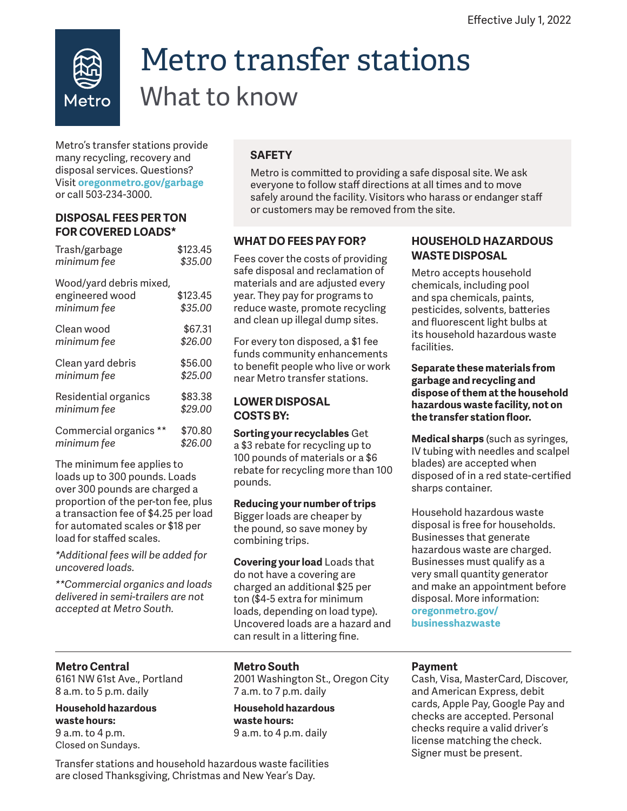

# Metro transfer stations What to know

Metro's transfer stations provide many recycling, recovery and disposal services. Questions? Visit **oregonmetro.gov/garbage** or call 503-234-3000.

## **DISPOSAL FEES PER TON FOR COVERED LOADS\***

| Trash/garbage                                             | \$123.45            |
|-----------------------------------------------------------|---------------------|
| minimum fee                                               | \$35.00             |
| Wood/yard debris mixed,<br>engineered wood<br>minimum fee | \$123.45<br>\$35.00 |
| Clean wood                                                | \$67.31             |
| minimum fee                                               | \$26.00             |
| Clean yard debris                                         | \$56.00             |
| minimum fee                                               | \$25.00             |
| Residential organics                                      | \$83.38             |
| minimum fee                                               | \$29.00             |
| Commercial organics **                                    | \$70.80             |
| minimum fee                                               | \$26.00             |
|                                                           |                     |

The minimum fee applies to loads up to 300 pounds. Loads over 300 pounds are charged a proportion of the per-ton fee, plus a transaction fee of \$4.25 per load for automated scales or \$18 per load for staffed scales.

*\*Additional fees will be added for uncovered loads.*

*\*\*Commercial organics and loads delivered in semi-trailers are not accepted at Metro South.*

# **SAFETY**

Metro is committed to providing a safe disposal site. We ask everyone to follow staff directions at all times and to move safely around the facility. Visitors who harass or endanger staff or customers may be removed from the site.

# **WHAT DO FEES PAY FOR?**

Fees cover the costs of providing safe disposal and reclamation of materials and are adjusted every year. They pay for programs to reduce waste, promote recycling and clean up illegal dump sites.

For every ton disposed, a \$1 fee funds community enhancements to benefit people who live or work near Metro transfer stations.

# **LOWER DISPOSAL COSTS BY:**

**Sorting your recyclables** Get a \$3 rebate for recycling up to 100 pounds of materials or a \$6 rebate for recycling more than 100 pounds.

## **Reducing your number of trips**

Bigger loads are cheaper by the pound, so save money by combining trips.

**Covering your load** Loads that do not have a covering are charged an additional \$25 per ton (\$4-5 extra for minimum loads, depending on load type). Uncovered loads are a hazard and can result in a littering fine.

## **HOUSEHOLD HAZARDOUS WASTE DISPOSAL**

Metro accepts household chemicals, including pool and spa chemicals, paints, pesticides, solvents, batteries and fluorescent light bulbs at its household hazardous waste facilities.

#### **Separate these materials from garbage and recycling and dispose of them at the household hazardous waste facility, not on the transfer station floor.**

**Medical sharps** (such as syringes, IV tubing with needles and scalpel blades) are accepted when disposed of in a red state-certified sharps container.

Household hazardous waste disposal is free for households. Businesses that generate hazardous waste are charged. Businesses must qualify as a very small quantity generator and make an appointment before disposal. More information: **oregonmetro.gov/ businesshazwaste** 

# **Metro Central**

6161 NW 61st Ave., Portland 8 a.m. to 5 p.m. daily

**Household hazardous waste hours:**  9 a.m. to 4 p.m. Closed on Sundays.

# **Metro South**

2001 Washington St., Oregon City 7 a.m. to 7 p.m. daily

**Household hazardous waste hours:** 9 a.m. to 4 p.m. daily

## **Payment**

Cash, Visa, MasterCard, Discover, and American Express, debit cards, Apple Pay, Google Pay and checks are accepted. Personal checks require a valid driver's license matching the check. Signer must be present.

Transfer stations and household hazardous waste facilities are closed Thanksgiving, Christmas and New Year's Day.